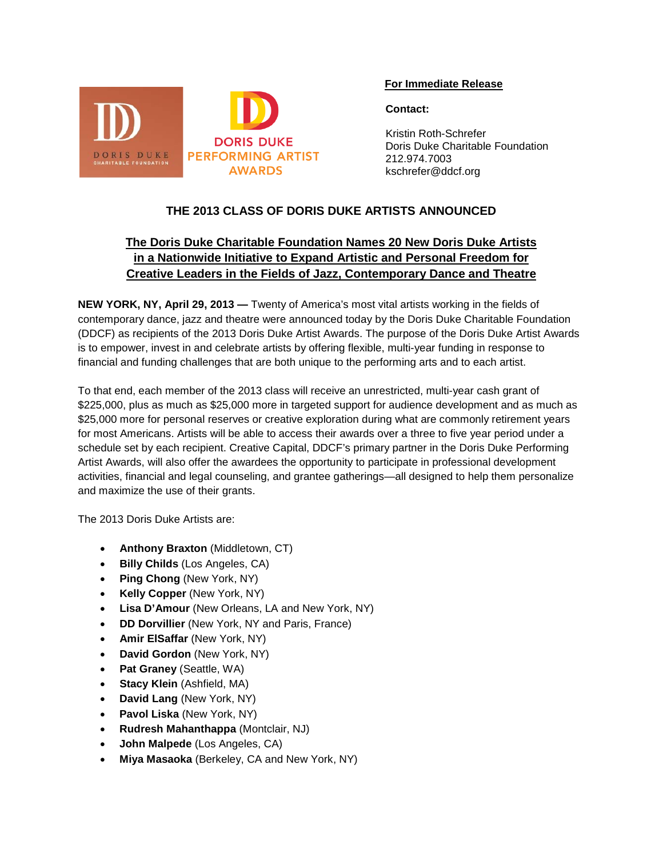

### **For Immediate Release**

### **Contact:**

 Kristin Roth-Schrefer Doris Duke Charitable Foundation 212.974.7003 kschrefer@ddcf.org

## **THE 2013 CLASS OF DORIS DUKE ARTISTS ANNOUNCED**

# **The Doris Duke Charitable Foundation Names 20 New Doris Duke Artists in a Nationwide Initiative to Expand Artistic and Personal Freedom for Creative Leaders in the Fields of Jazz, Contemporary Dance and Theatre**

**NEW YORK, NY, April 29, 2013 —** Twenty of America's most vital artists working in the fields of contemporary dance, jazz and theatre were announced today by the Doris Duke Charitable Foundation (DDCF) as recipients of the 2013 Doris Duke Artist Awards. The purpose of the Doris Duke Artist Awards is to empower, invest in and celebrate artists by offering flexible, multi-year funding in response to financial and funding challenges that are both unique to the performing arts and to each artist.

To that end, each member of the 2013 class will receive an unrestricted, multi-year cash grant of \$225,000, plus as much as \$25,000 more in targeted support for audience development and as much as \$25,000 more for personal reserves or creative exploration during what are commonly retirement years for most Americans. Artists will be able to access their awards over a three to five year period under a schedule set by each recipient. Creative Capital, DDCF's primary partner in the Doris Duke Performing Artist Awards, will also offer the awardees the opportunity to participate in professional development activities, financial and legal counseling, and grantee gatherings—all designed to help them personalize and maximize the use of their grants.

The 2013 Doris Duke Artists are:

- **Anthony Braxton** (Middletown, CT)
- **Billy Childs** (Los Angeles, CA)
- **Ping Chong** (New York, NY)
- **Kelly Copper** (New York, NY)
- **Lisa D'Amour** (New Orleans, LA and New York, NY)
- **DD Dorvillier** (New York, NY and Paris, France)
- **Amir ElSaffar** (New York, NY)
- **David Gordon** (New York, NY)
- **Pat Graney** (Seattle, WA)
- **Stacy Klein** (Ashfield, MA)
- **David Lang** (New York, NY)
- **Pavol Liska** (New York, NY)
- **Rudresh Mahanthappa** (Montclair, NJ)
- **John Malpede** (Los Angeles, CA)
- **Miya Masaoka** (Berkeley, CA and New York, NY)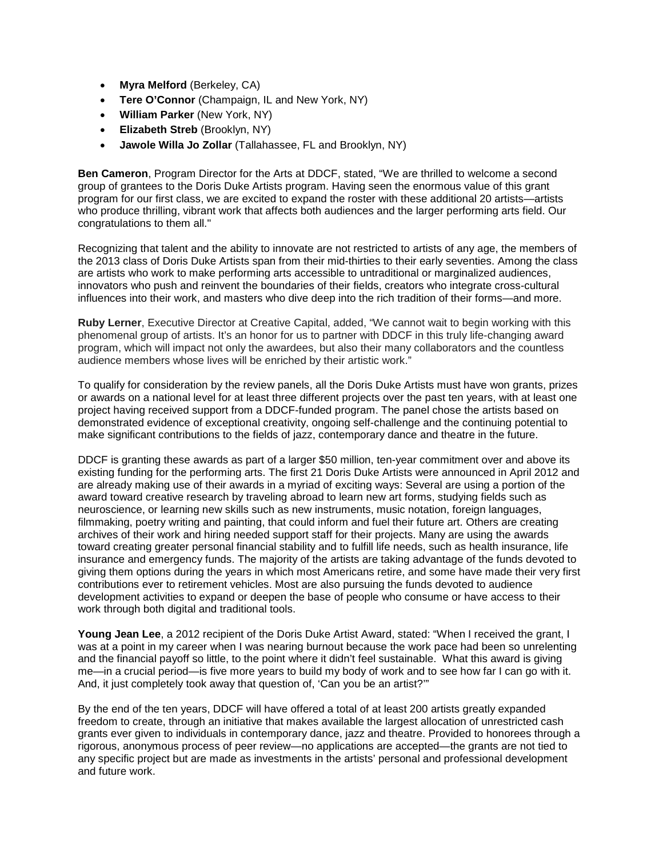- **Myra Melford** (Berkeley, CA)
- **Tere O'Connor** (Champaign, IL and New York, NY)
- **William Parker** (New York, NY)
- **Elizabeth Streb** (Brooklyn, NY)
- **Jawole Willa Jo Zollar** (Tallahassee, FL and Brooklyn, NY)

**Ben Cameron**, Program Director for the Arts at DDCF, stated, "We are thrilled to welcome a second group of grantees to the Doris Duke Artists program. Having seen the enormous value of this grant program for our first class, we are excited to expand the roster with these additional 20 artists—artists who produce thrilling, vibrant work that affects both audiences and the larger performing arts field. Our congratulations to them all."

Recognizing that talent and the ability to innovate are not restricted to artists of any age, the members of the 2013 class of Doris Duke Artists span from their mid-thirties to their early seventies. Among the class are artists who work to make performing arts accessible to untraditional or marginalized audiences, innovators who push and reinvent the boundaries of their fields, creators who integrate cross-cultural influences into their work, and masters who dive deep into the rich tradition of their forms—and more.

**Ruby Lerner**, Executive Director at Creative Capital, added, "We cannot wait to begin working with this phenomenal group of artists. It's an honor for us to partner with DDCF in this truly life-changing award program, which will impact not only the awardees, but also their many collaborators and the countless audience members whose lives will be enriched by their artistic work."

To qualify for consideration by the review panels, all the Doris Duke Artists must have won grants, prizes or awards on a national level for at least three different projects over the past ten years, with at least one project having received support from a DDCF-funded program. The panel chose the artists based on demonstrated evidence of exceptional creativity, ongoing self-challenge and the continuing potential to make significant contributions to the fields of jazz, contemporary dance and theatre in the future.

DDCF is granting these awards as part of a larger \$50 million, ten-year commitment over and above its existing funding for the performing arts. The first 21 Doris Duke Artists were announced in April 2012 and are already making use of their awards in a myriad of exciting ways: Several are using a portion of the award toward creative research by traveling abroad to learn new art forms, studying fields such as neuroscience, or learning new skills such as new instruments, music notation, foreign languages, filmmaking, poetry writing and painting, that could inform and fuel their future art. Others are creating archives of their work and hiring needed support staff for their projects. Many are using the awards toward creating greater personal financial stability and to fulfill life needs, such as health insurance, life insurance and emergency funds. The majority of the artists are taking advantage of the funds devoted to giving them options during the years in which most Americans retire, and some have made their very first contributions ever to retirement vehicles. Most are also pursuing the funds devoted to audience development activities to expand or deepen the base of people who consume or have access to their work through both digital and traditional tools.

**Young Jean Lee**, a 2012 recipient of the Doris Duke Artist Award, stated: "When I received the grant, I was at a point in my career when I was nearing burnout because the work pace had been so unrelenting and the financial payoff so little, to the point where it didn't feel sustainable. What this award is giving me—in a crucial period—is five more years to build my body of work and to see how far I can go with it. And, it just completely took away that question of, 'Can you be an artist?'"

By the end of the ten years, DDCF will have offered a total of at least 200 artists greatly expanded freedom to create, through an initiative that makes available the largest allocation of unrestricted cash grants ever given to individuals in contemporary dance, jazz and theatre. Provided to honorees through a rigorous, anonymous process of peer review—no applications are accepted—the grants are not tied to any specific project but are made as investments in the artists' personal and professional development and future work.